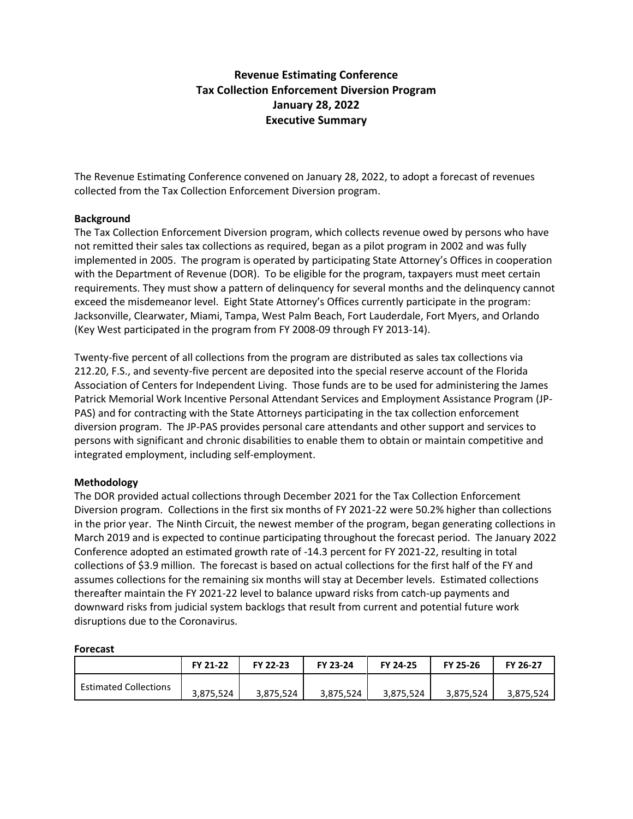## **Revenue Estimating Conference Tax Collection Enforcement Diversion Program January 28, 2022 Executive Summary**

The Revenue Estimating Conference convened on January 28, 2022, to adopt a forecast of revenues collected from the Tax Collection Enforcement Diversion program.

## **Background**

The Tax Collection Enforcement Diversion program, which collects revenue owed by persons who have not remitted their sales tax collections as required, began as a pilot program in 2002 and was fully implemented in 2005. The program is operated by participating State Attorney's Offices in cooperation with the Department of Revenue (DOR). To be eligible for the program, taxpayers must meet certain requirements. They must show a pattern of delinquency for several months and the delinquency cannot exceed the misdemeanor level. Eight State Attorney's Offices currently participate in the program: Jacksonville, Clearwater, Miami, Tampa, West Palm Beach, Fort Lauderdale, Fort Myers, and Orlando (Key West participated in the program from FY 2008-09 through FY 2013-14).

Twenty-five percent of all collections from the program are distributed as sales tax collections via 212.20, F.S., and seventy-five percent are deposited into the special reserve account of the Florida Association of Centers for Independent Living. Those funds are to be used for administering the James Patrick Memorial Work Incentive Personal Attendant Services and Employment Assistance Program (JP-PAS) and for contracting with the State Attorneys participating in the tax collection enforcement diversion program. The JP-PAS provides personal care attendants and other support and services to persons with significant and chronic disabilities to enable them to obtain or maintain competitive and integrated employment, including self-employment.

## **Methodology**

The DOR provided actual collections through December 2021 for the Tax Collection Enforcement Diversion program. Collections in the first six months of FY 2021-22 were 50.2% higher than collections in the prior year. The Ninth Circuit, the newest member of the program, began generating collections in March 2019 and is expected to continue participating throughout the forecast period. The January 2022 Conference adopted an estimated growth rate of -14.3 percent for FY 2021-22, resulting in total collections of \$3.9 million. The forecast is based on actual collections for the first half of the FY and assumes collections for the remaining six months will stay at December levels. Estimated collections thereafter maintain the FY 2021-22 level to balance upward risks from catch-up payments and downward risks from judicial system backlogs that result from current and potential future work disruptions due to the Coronavirus.

| .                            |           |           |           |           |           |           |  |  |  |  |  |  |  |
|------------------------------|-----------|-----------|-----------|-----------|-----------|-----------|--|--|--|--|--|--|--|
|                              | FY 21-22  | FY 22-23  | FY 23-24  | FY 24-25  | FY 25-26  | FY 26-27  |  |  |  |  |  |  |  |
| <b>Estimated Collections</b> | 3,875,524 | 3,875,524 | 3,875,524 | 3,875,524 | 3,875,524 | 3,875,524 |  |  |  |  |  |  |  |

## **Forecast**